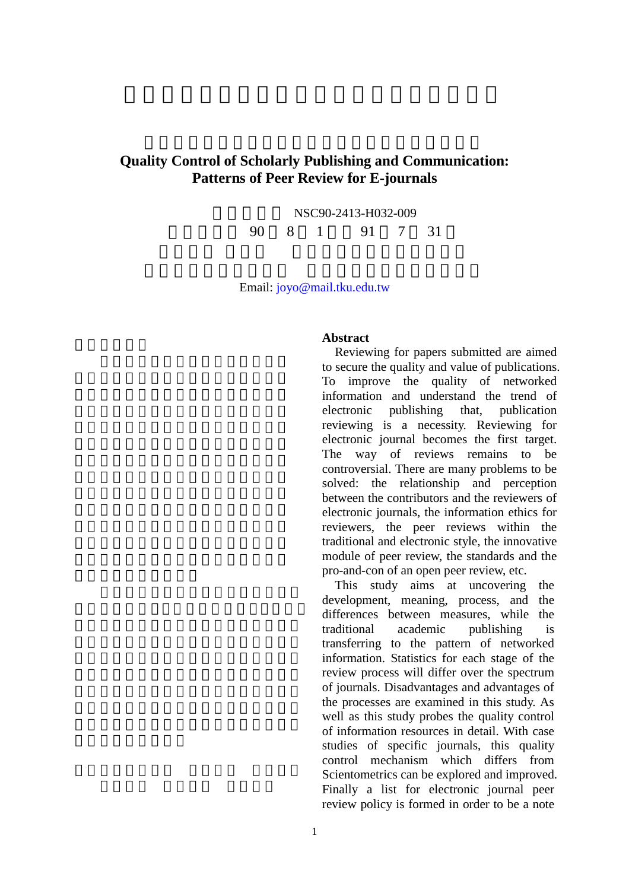## **Quality Control of Scholarly Publishing and Communication: Patterns of Peer Review for E-journals**

NSC90-2413-H032-009 執行期限 90 8 1 日至 91 7 31

Email: joyo@mail.tku.edu.tw

## **Abstract**

Reviewing for papers submitted are aimed to secure the quality and value of publications. To improve the quality of networked information and understand the trend of electronic publishing that, publication reviewing is a necessity. Reviewing for electronic journal becomes the first target. The way of reviews remains to be controversial. There are many problems to be solved: the relationship and perception between the contributors and the reviewers of electronic journals, the information ethics for reviewers, the peer reviews within the traditional and electronic style, the innovative module of peer review, the standards and the pro-and-con of an open peer review, etc.

This study aims at uncovering the development, meaning, process, and the differences between measures, while the traditional academic publishing is transferring to the pattern of networked information. Statistics for each stage of the review process will differ over the spectrum of journals. Disadvantages and advantages of the processes are examined in this study. As well as this study probes the quality control of information resources in detail. With case studies of specific journals, this quality control mechanism which differs from Scientometrics can be explored and improved. Finally a list for electronic journal peer review policy is formed in order to be a note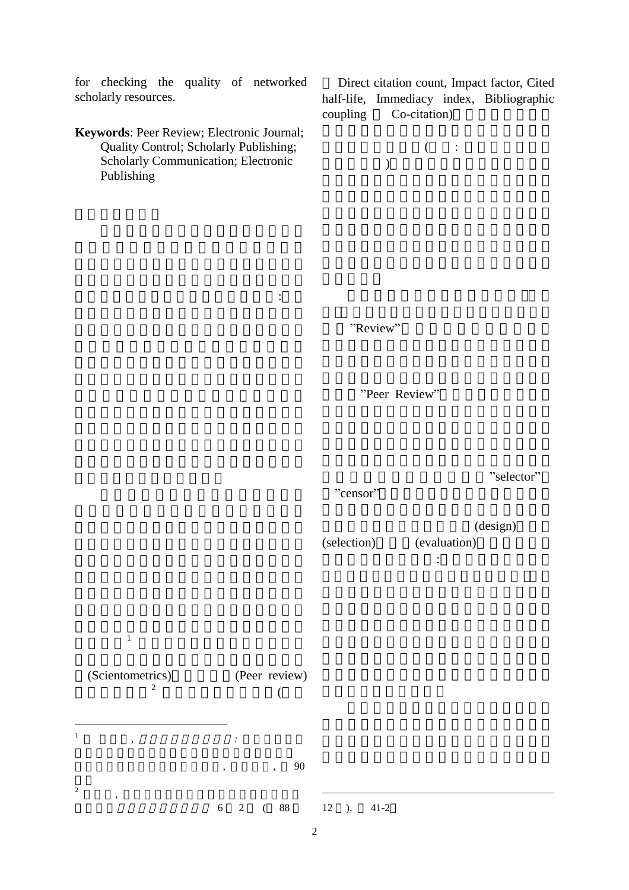for checking the quality of networked scholarly resources.

**Keywords**: Peer Review; Electronic Journal; Quality Control; Scholarly Publishing; Scholarly Communication; Electronic Publishing

Direct citation count, Impact factor, Cited half-life, Immediacy index, Bibliographic coupling Co-citation)





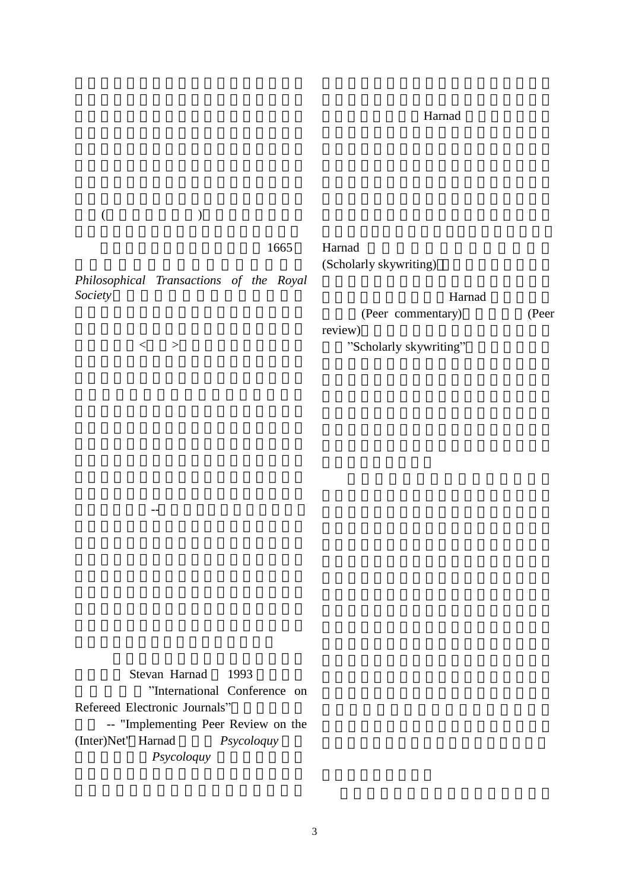## Harnad

|         |   | 1665                                    | Harnad<br>(Scholarly skywriting)  |       |
|---------|---|-----------------------------------------|-----------------------------------|-------|
| Society |   | Philosophical Transactions of the Royal | Harnad                            |       |
|         |   |                                         | (Peer commentary)                 | (Peer |
|         | > |                                         | review)<br>"Scholarly skywriting" |       |

Stevan Harnad 1993 "International Conference on Refereed Electronic Journals" -- "Implementing Peer Review on the (Inter)Net" Harnad *Psycoloquy*  $Psychquy$ 

術出版的核心-- 知識 進行深度的評量。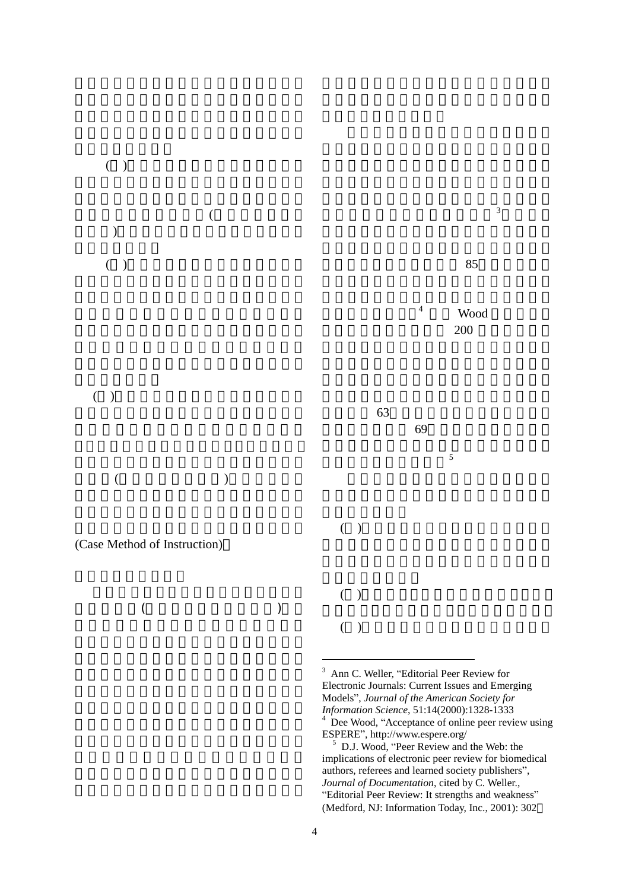

(Case Method of Instruction)

 $($ 



<sup>3</sup> Ann C. Weller, "Editorial Peer Review for Electronic Journals: Current Issues and Emerging Models", *Journal of the American Society for Information Science*, 51:14(2000):1328-1333 <sup>4</sup> Dee Wood, "Acceptance of online peer review using ESPERE", http://www.espere.org/

1

<sup>5</sup> D.J. Wood, "Peer Review and the Web: the implications of electronic peer review for biomedical authors, referees and learned society publishers", *Journal of Documentation*, cited by C. Weller., "Editorial Peer Review: It strengths and weakness" (Medford, NJ: Information Today, Inc., 2001): 302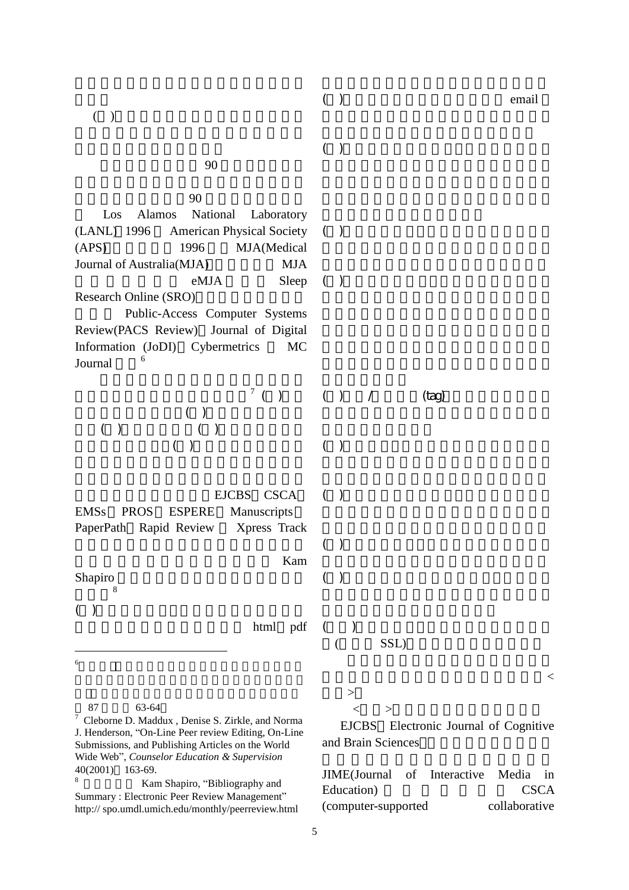$( )$  email

( )

( )

 $90$ 

其代表性計畫包括:90 年代初,物理領域 Los Alamos National Laboratory (LANL) 1996 American Physical Society  $(APS)$  1996 MJA(Medical Journal of Australia(MJA) MJA eMJA Sleep Research Online (SRO) Public-Access Computer Systems Review(PACS Review) Journal of Digital Information (JoDI) Cybermetrics MC Journal  $\frac{6}{5}$ 規劃時,應依序遵循五個步驟:<sup>7</sup>  $\binom{7}{ }$  $( \ )$  $( \ )$   $( \ )$  $( )$ EJCBS CSCA EMSs PROS ESPERE Manuscripts PaperPath Rapid Review Xpress Track  $Kam$ Shapiro ( )  $($  )  $($  ) /  $(tag)$  $($  )  $($  ) ( ) ( )

分析:<sup>8</sup>

( )

html pdf  $(+)$  $(SSL)$ 

 $\overline{a}$  $6\,$ 

87 63-64

<sup>7</sup> Cleborne D. Maddux , Denise S. Zirkle, and Norma J. Henderson, "On-Line Peer review Editing, On-Line Submissions, and Publishing Articles on the World Wide Web", *Counselor Education & Supervision*  $40(2001)$  163-69.

Kam Shapiro, "Bibliography and Summary : Electronic Peer Review Management" http:// spo.umdl.umich.edu/monthly/peerreview.html  $>$  $\langle \quad \rangle$ 

EJCBS Electronic Journal of Cognitive and Brain Sciences

JIME(Journal of Interactive Media in Education) CSCA (computer-supported collaborative

 $<$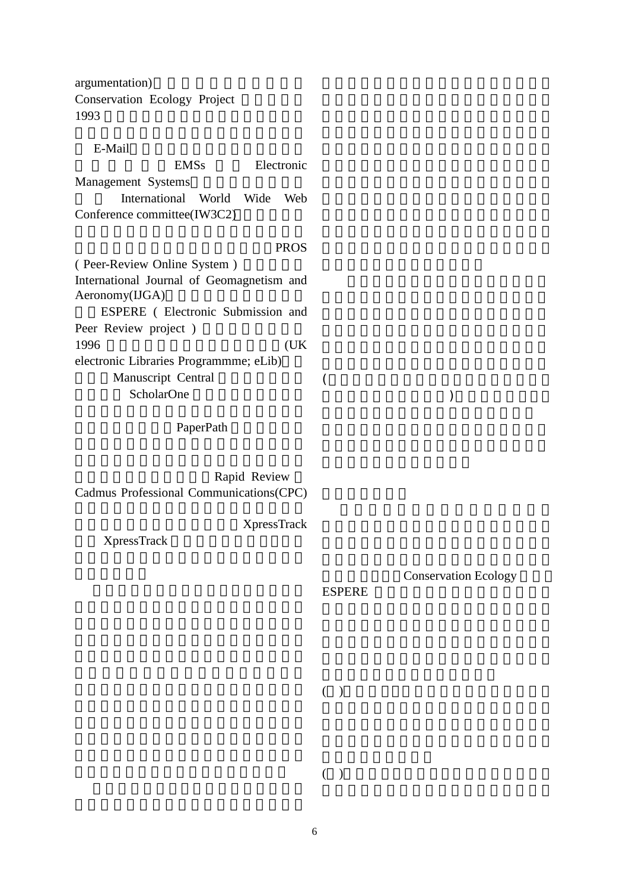argumentation) Conservation Ecology Project 1993 E-Mail EMSs Electronic Management Systems International World Wide Web Conference committee(IW3C2) PROS ( Peer-Review Online System ) International Journal of Geomagnetism and  $A$ eronomy(IJGA) ESPERE ( Electronic Submission and Peer Review project) 1996 (UK) electronic Libraries Programmme; eLib) Manuscript Central ScholarOne  $($  $)$ 

PaperPath

Rapid Review Cadmus Professional Communications(CPC)

XpressTrack

XpressTrack

Conservation Ecology

ESPERE

 $( )$ 

( )

6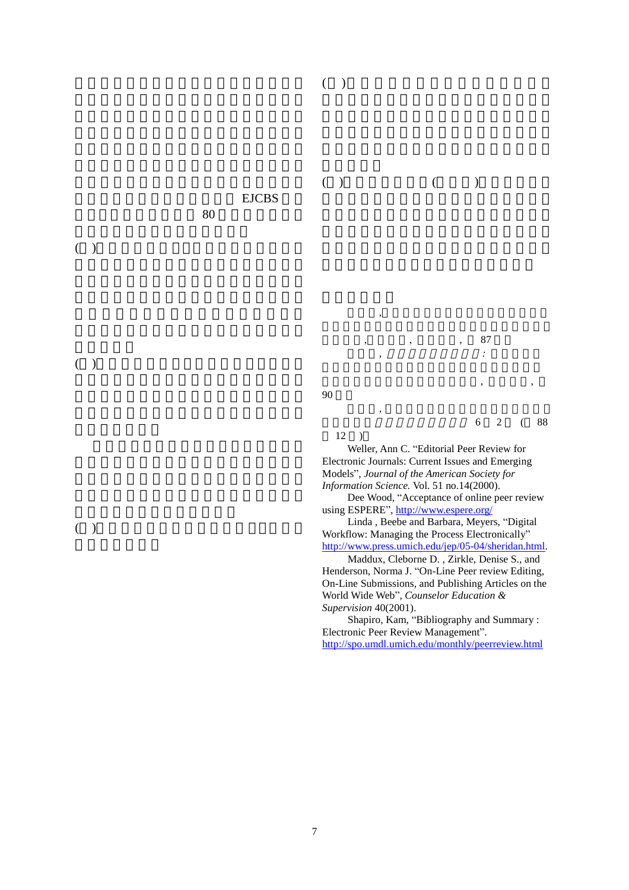

 $6 \t 2 \t (88$ 

12 )

 $($ 

Weller, Ann C. "Editorial Peer Review for Electronic Journals: Current Issues and Emerging Models", *Journal of the American Society for Information Science.* Vol. 51 no.14(2000).

Dee Wood, "Acceptance of online peer review using ESPERE", http://www.espere.org/

Linda , Beebe and Barbara, Meyers, "Digital Workflow: Managing the Process Electronically" http://www.press.umich.edu/jep/05-04/sheridan.html.

Maddux, Cleborne D. , Zirkle, Denise S., and Henderson, Norma J. "On-Line Peer review Editing, On-Line Submissions, and Publishing Articles on the World Wide Web", *Counselor Education & Supervision* 40(2001).

Shapiro, Kam, "Bibliography and Summary : Electronic Peer Review Management". http://spo.umdl.umich.edu/monthly/peerreview.html

( ) and  $\Box$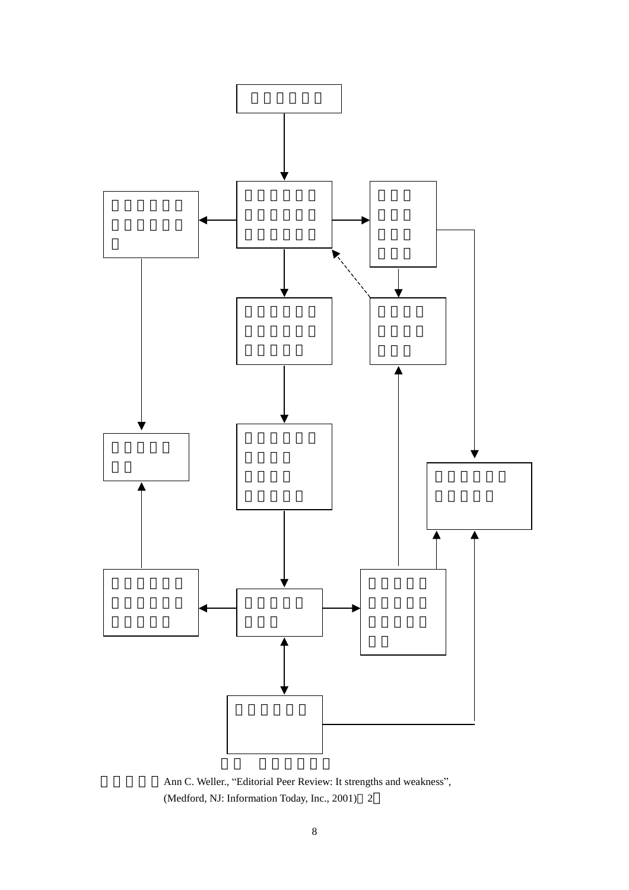

Ann C. Weller., "Editorial Peer Review: It strengths and weakness", (Medford, NJ: Information Today, Inc., 2001) 2